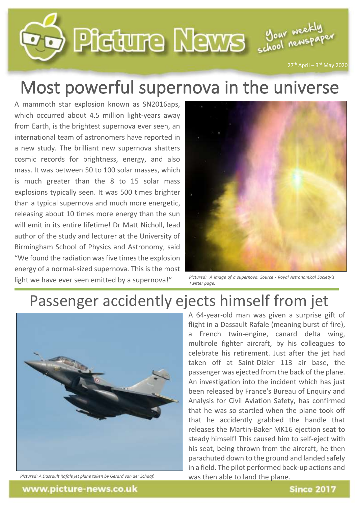

## Most powerful supernova in the universe

A mammoth star explosion known as SN2016aps, which occurred about 4.5 million light-years away from Earth, is the brightest supernova ever seen, an international team of astronomers have reported in a new study. The brilliant new supernova shatters cosmic records for brightness, energy, and also mass. It was between 50 to 100 solar masses, which is much greater than the 8 to 15 solar mass explosions typically seen. It was 500 times brighter than a typical supernova and much more energetic, releasing about 10 times more energy than the sun will emit in its entire lifetime! Dr Matt Nicholl, lead author of the study and lecturer at the University of Birmingham School of Physics and Astronomy, said "We found the radiation was five times the explosion energy of a normal-sized supernova. This is the most light we have ever seen emitted by a supernova!"



*Pictured: A image of a supernova. Source - Royal Astronomical Society's Twitter page.*

## Passenger accidently ejects himself from jet



*Pictured: A Dassault Rafale jet plane taken by Gerard van der Schaaf.*

A 64-year-old man was given a surprise gift of flight in a Dassault Rafale (meaning burst of fire), a French twin-engine, canard delta wing, multirole fighter aircraft, by his colleagues to celebrate his retirement. Just after the jet had taken off at Saint-Dizier 113 air base, the passenger was ejected from the back of the plane. An investigation into the incident which has just been released by France's Bureau of Enquiry and Analysis for Civil Aviation Safety, has confirmed that he was so startled when the plane took off that he accidently grabbed the handle that releases the Martin-Baker MK16 ejection seat to steady himself! This caused him to self-eject with his seat, being thrown from the aircraft, he then parachuted down to the ground and landed safely in a field. The pilot performed back-up actions and was then able to land the plane.

www.picture-news.co.uk